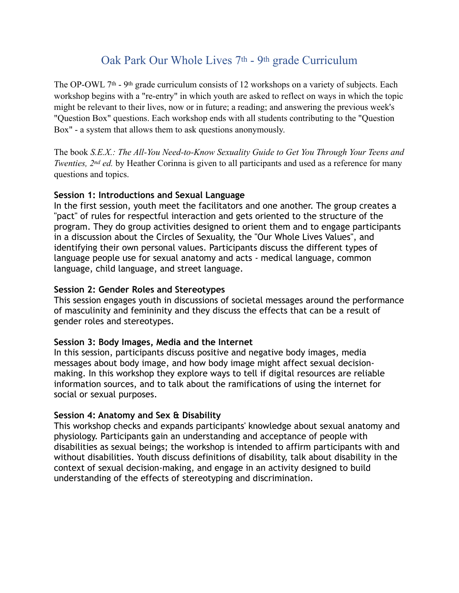# Oak Park Our Whole Lives 7th - 9th grade Curriculum

The OP-OWL 7<sup>th</sup> - 9<sup>th</sup> grade curriculum consists of 12 workshops on a variety of subjects. Each workshop begins with a "re-entry" in which youth are asked to reflect on ways in which the topic might be relevant to their lives, now or in future; a reading; and answering the previous week's "Question Box" questions. Each workshop ends with all students contributing to the "Question Box" - a system that allows them to ask questions anonymously.

The book *S.E.X.: The All-You Need-to-Know Sexuality Guide to Get You Through Your Teens and Twenties, 2<sup>nd</sup> ed.* by Heather Corinna is given to all participants and used as a reference for many questions and topics.

#### **Session 1: Introductions and Sexual Language**

In the first session, youth meet the facilitators and one another. The group creates a "pact" of rules for respectful interaction and gets oriented to the structure of the program. They do group activities designed to orient them and to engage participants in a discussion about the Circles of Sexuality, the "Our Whole Lives Values", and identifying their own personal values. Participants discuss the different types of language people use for sexual anatomy and acts - medical language, common language, child language, and street language.

#### **Session 2: Gender Roles and Stereotypes**

This session engages youth in discussions of societal messages around the performance of masculinity and femininity and they discuss the effects that can be a result of gender roles and stereotypes.

## **Session 3: Body Images, Media and the Internet**

In this session, participants discuss positive and negative body images, media messages about body image, and how body image might affect sexual decisionmaking. In this workshop they explore ways to tell if digital resources are reliable information sources, and to talk about the ramifications of using the internet for social or sexual purposes.

#### **Session 4: Anatomy and Sex & Disability**

This workshop checks and expands participants' knowledge about sexual anatomy and physiology. Participants gain an understanding and acceptance of people with disabilities as sexual beings; the workshop is intended to affirm participants with and without disabilities. Youth discuss definitions of disability, talk about disability in the context of sexual decision-making, and engage in an activity designed to build understanding of the effects of stereotyping and discrimination.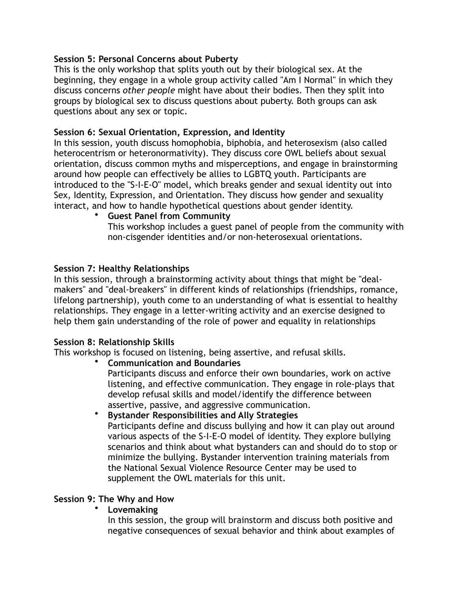### **Session 5: Personal Concerns about Puberty**

This is the only workshop that splits youth out by their biological sex. At the beginning, they engage in a whole group activity called "Am I Normal" in which they discuss concerns *other people* might have about their bodies. Then they split into groups by biological sex to discuss questions about puberty. Both groups can ask questions about any sex or topic.

#### **Session 6: Sexual Orientation, Expression, and Identity**

In this session, youth discuss homophobia, biphobia, and heterosexism (also called heterocentrism or heteronormativity). They discuss core OWL beliefs about sexual orientation, discuss common myths and misperceptions, and engage in brainstorming around how people can effectively be allies to LGBTQ youth. Participants are introduced to the "S-I-E-O" model, which breaks gender and sexual identity out into Sex, Identity, Expression, and Orientation. They discuss how gender and sexuality interact, and how to handle hypothetical questions about gender identity.

#### • **Guest Panel from Community**

This workshop includes a guest panel of people from the community with non-cisgender identities and/or non-heterosexual orientations.

#### **Session 7: Healthy Relationships**

In this session, through a brainstorming activity about things that might be "dealmakers" and "deal-breakers" in different kinds of relationships (friendships, romance, lifelong partnership), youth come to an understanding of what is essential to healthy relationships. They engage in a letter-writing activity and an exercise designed to help them gain understanding of the role of power and equality in relationships

## **Session 8: Relationship Skills**

This workshop is focused on listening, being assertive, and refusal skills.

- **Communication and Boundaries**  Participants discuss and enforce their own boundaries, work on active listening, and effective communication. They engage in role-plays that develop refusal skills and model/identify the difference between assertive, passive, and aggressive communication.
- **Bystander Responsibilities and Ally Strategies**  Participants define and discuss bullying and how it can play out around various aspects of the S-I-E-O model of identity. They explore bullying scenarios and think about what bystanders can and should do to stop or minimize the bullying. Bystander intervention training materials from the National Sexual Violence Resource Center may be used to supplement the OWL materials for this unit.

## **Session 9: The Why and How**

## • **Lovemaking**

In this session, the group will brainstorm and discuss both positive and negative consequences of sexual behavior and think about examples of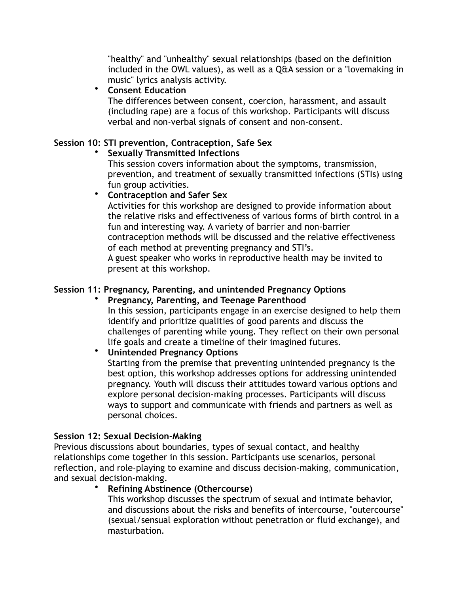"healthy" and "unhealthy" sexual relationships (based on the definition included in the OWL values), as well as a Q&A session or a "lovemaking in music" lyrics analysis activity.

## • **Consent Education**

The differences between consent, coercion, harassment, and assault (including rape) are a focus of this workshop. Participants will discuss verbal and non-verbal signals of consent and non-consent.

# **Session 10: STI prevention, Contraception, Safe Sex**

# • **Sexually Transmitted Infections**

This session covers information about the symptoms, transmission, prevention, and treatment of sexually transmitted infections (STIs) using fun group activities.

• **Contraception and Safer Sex** 

Activities for this workshop are designed to provide information about the relative risks and effectiveness of various forms of birth control in a fun and interesting way. A variety of barrier and non-barrier contraception methods will be discussed and the relative effectiveness of each method at preventing pregnancy and STI's.

A guest speaker who works in reproductive health may be invited to present at this workshop.

# **Session 11: Pregnancy, Parenting, and unintended Pregnancy Options**

#### • **Pregnancy, Parenting, and Teenage Parenthood**  In this session, participants engage in an exercise designed to help them

identify and prioritize qualities of good parents and discuss the challenges of parenting while young. They reflect on their own personal life goals and create a timeline of their imagined futures.

# • **Unintended Pregnancy Options**

Starting from the premise that preventing unintended pregnancy is the best option, this workshop addresses options for addressing unintended pregnancy. Youth will discuss their attitudes toward various options and explore personal decision-making processes. Participants will discuss ways to support and communicate with friends and partners as well as personal choices.

## **Session 12: Sexual Decision-Making**

Previous discussions about boundaries, types of sexual contact, and healthy relationships come together in this session. Participants use scenarios, personal reflection, and role-playing to examine and discuss decision-making, communication, and sexual decision-making.

## • **Refining Abstinence (Othercourse)**

This workshop discusses the spectrum of sexual and intimate behavior, and discussions about the risks and benefits of intercourse, "outercourse" (sexual/sensual exploration without penetration or fluid exchange), and masturbation.